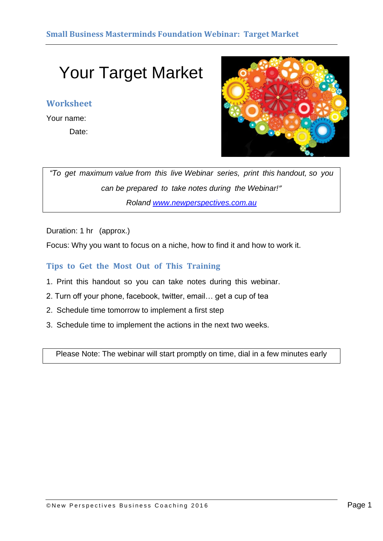# Your Target Market

## **Worksheet**

Your name:

Date:



*"To get maximum value from this live Webinar series, print this handout, so you can be prepared to take notes during the Webinar!" Roland [www.newperspectives.com.au](file:///C:/Users/roland/Dropbox/my%20marketing%20stuff/MAsterminds%20webinars,%20topic%20articles/Masterminds%20webinars/Planning/www.newperspectives.com.au)*

Duration: 1 hr (approx.)

Focus: Why you want to focus on a niche, how to find it and how to work it.

### **Tips to Get the Most Out of This Training**

- 1. Print this handout so you can take notes during this webinar.
- 2. Turn off your phone, facebook, twitter, email… get a cup of tea
- 2. Schedule time tomorrow to implement a first step
- 3. Schedule time to implement the actions in the next two weeks.

Please Note: The webinar will start promptly on time, dial in a few minutes early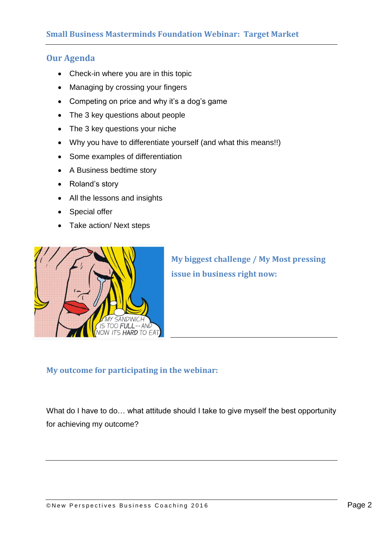#### **Our Agenda**

- Check-in where you are in this topic
- Managing by crossing your fingers
- Competing on price and why it's a dog's game
- The 3 key questions about people
- The 3 key questions your niche
- Why you have to differentiate yourself (and what this means!!)
- Some examples of differentiation
- A Business bedtime story
- Roland's story
- All the lessons and insights
- Special offer
- Take action/ Next steps



**My biggest challenge / My Most pressing issue in business right now:**

#### **My outcome for participating in the webinar:**

What do I have to do… what attitude should I take to give myself the best opportunity for achieving my outcome?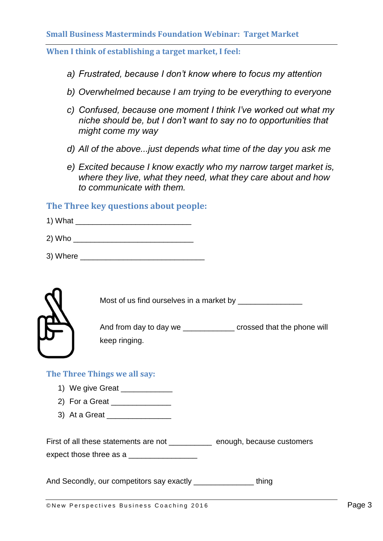**When I think of establishing a target market, I feel:**

*a) Frustrated, because I don't know where to focus my attention*

- *b) Overwhelmed because I am trying to be everything to everyone*
- *c) Confused, because one moment I think I've worked out what my niche should be, but I don't want to say no to opportunities that might come my way*
- *d) All of the above...just depends what time of the day you ask me*
- *e) Excited because I know exactly who my narrow target market is, where they live, what they need, what they care about and how to communicate with them.*

### **The Three key questions about people:**

| 1) What |  |  |  |
|---------|--|--|--|
|         |  |  |  |

- $2)$  Who  $\blacksquare$
- 3) Where \_\_\_\_\_\_\_\_\_\_\_\_\_\_\_\_\_\_\_\_\_\_\_\_\_\_\_\_\_



Most of us find ourselves in a market by

And from day to day we \_\_\_\_\_\_\_\_\_\_\_\_\_\_\_ crossed that the phone will keep ringing.

#### **The Three Things we all say:**

- 1) We give Great \_\_\_\_\_\_\_\_\_\_\_\_\_
- 2) For a Great
- $3)$  At a Great  $\overline{\phantom{a}}$

First of all these statements are not \_\_\_\_\_\_\_\_\_\_\_\_\_ enough, because customers expect those three as a \_\_\_\_\_\_\_\_\_\_\_\_\_\_\_\_

And Secondly, our competitors say exactly \_\_\_\_\_\_\_\_\_\_\_\_\_\_ thing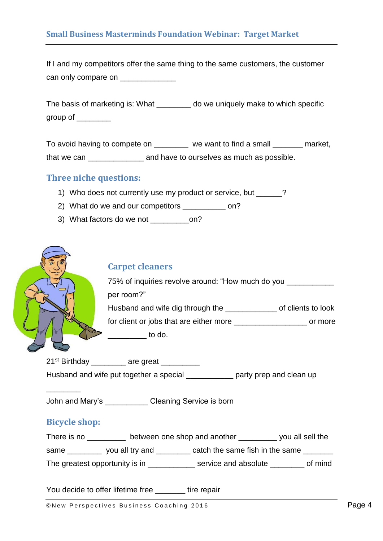## **Small Business Masterminds Foundation Webinar: Target Market**

If I and my competitors offer the same thing to the same customers, the customer can only compare on \_\_\_\_\_\_\_\_\_\_\_\_\_\_\_

The basis of marketing is: What do we uniquely make to which specific group of \_\_\_\_\_\_\_\_

To avoid having to compete on \_\_\_\_\_\_\_\_ we want to find a small \_\_\_\_\_\_\_ market, that we can \_\_\_\_\_\_\_\_\_\_\_\_\_\_\_\_\_ and have to ourselves as much as possible.

#### **Three niche questions:**

- 1) Who does not currently use my product or service, but \_\_\_\_\_\_?
- 2) What do we and our competitors \_\_\_\_\_\_\_\_ on?
- 3) What factors do we not on?



#### **Carpet cleaners**

75% of inquiries revolve around: "How much do you per room?" Husband and wife dig through the dig the set of clients to look for client or jobs that are either more \_\_\_\_\_\_\_\_\_\_\_\_\_\_\_\_\_ or more do.

 $21^{st}$  Birthday \_\_\_\_\_\_\_\_ are great \_\_\_\_\_\_\_\_\_ Husband and wife put together a special \_\_\_\_\_\_\_\_\_\_\_\_ party prep and clean up

John and Mary's \_\_\_\_\_\_\_\_\_\_ Cleaning Service is born

#### **Bicycle shop:**

 $\overline{\phantom{a}}$ 

There is no \_\_\_\_\_\_\_\_\_\_\_ between one shop and another \_\_\_\_\_\_\_\_\_\_ you all sell the

same \_\_\_\_\_\_\_ you all try and \_\_\_\_\_\_\_\_ catch the same fish in the same \_\_\_\_\_\_\_

The greatest opportunity is in \_\_\_\_\_\_\_\_\_\_\_\_\_ service and absolute \_\_\_\_\_\_\_\_ of mind

You decide to offer lifetime free \_\_\_\_\_\_\_ tire repair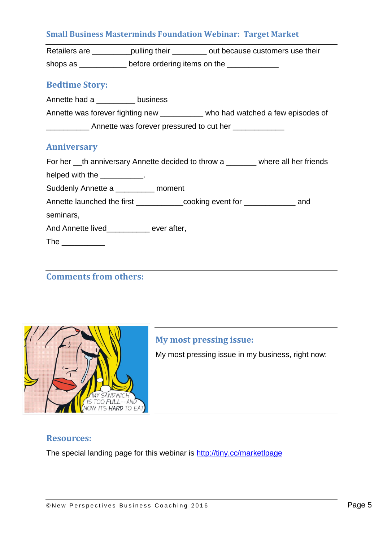### **Small Business Masterminds Foundation Webinar: Target Market**

| Retailers are | pulling their                | out because customers use their |
|---------------|------------------------------|---------------------------------|
| shops as      | before ordering items on the |                                 |

#### **Bedtime Story:**

Annette had a \_\_\_\_\_\_\_\_\_ business Annette was forever fighting new \_\_\_\_\_\_\_\_\_\_ who had watched a few episodes of \_\_\_\_\_\_\_\_\_\_\_\_\_ Annette was forever pressured to cut her \_\_\_\_\_\_\_\_\_\_\_\_\_\_\_\_\_\_\_\_\_\_\_\_\_

#### **Anniversary**

For her th anniversary Annette decided to throw a where all her friends

helped with the \_\_\_\_\_\_\_\_\_\_\_.

Suddenly Annette a \_\_\_\_\_\_\_\_\_ moment

Annette launched the first \_\_\_\_\_\_\_\_\_\_\_\_\_cooking event for \_\_\_\_\_\_\_\_\_\_\_\_\_\_ and

seminars,

And Annette lived ever after,

The \_\_\_\_\_\_\_\_\_\_

# **Comments from others:**



#### **My most pressing issue:**

My most pressing issue in my business, right now:

#### **Resources:**

The special landing page for this webinar is<http://tiny.cc/marketlpage>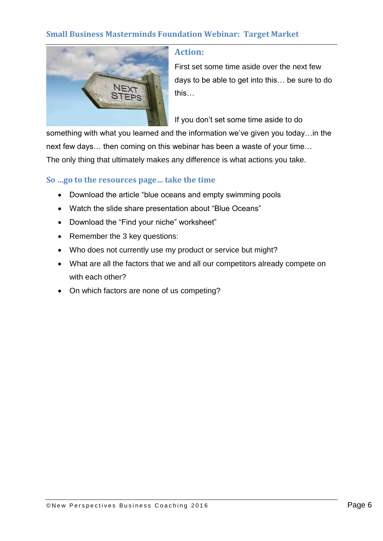## **Small Business Masterminds Foundation Webinar: Target Market**



#### **Action:**

First set some time aside over the next few days to be able to get into this… be sure to do this…

If you don't set some time aside to do

something with what you learned and the information we've given you today…in the next few days… then coming on this webinar has been a waste of your time… The only thing that ultimately makes any difference is what actions you take.

### **So …go to the resources page… take the time**

- Download the article "blue oceans and empty swimming pools
- Watch the slide share presentation about "Blue Oceans"
- Download the "Find your niche" worksheet"
- Remember the 3 key questions:
- Who does not currently use my product or service but might?
- What are all the factors that we and all our competitors already compete on with each other?
- On which factors are none of us competing?